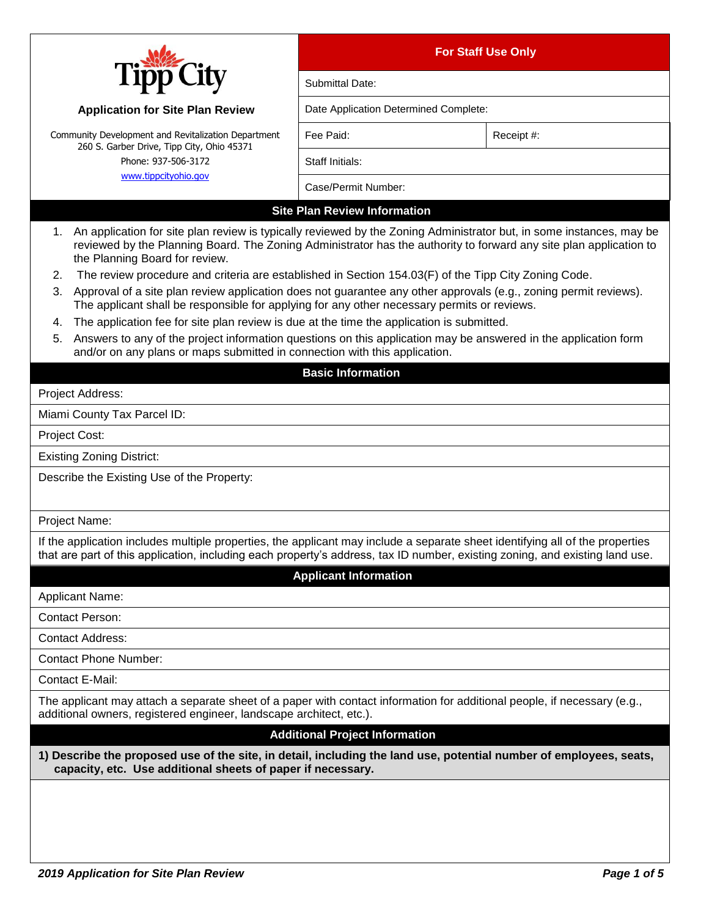|                                                                                                                                                                                                                                                                                    | <b>For Staff Use Only</b>             |            |  |  |
|------------------------------------------------------------------------------------------------------------------------------------------------------------------------------------------------------------------------------------------------------------------------------------|---------------------------------------|------------|--|--|
|                                                                                                                                                                                                                                                                                    | Submittal Date:                       |            |  |  |
| <b>Application for Site Plan Review</b>                                                                                                                                                                                                                                            | Date Application Determined Complete: |            |  |  |
| Community Development and Revitalization Department                                                                                                                                                                                                                                | Fee Paid:                             | Receipt #: |  |  |
| 260 S. Garber Drive, Tipp City, Ohio 45371<br>Phone: 937-506-3172                                                                                                                                                                                                                  | Staff Initials:                       |            |  |  |
| www.tippcityohio.gov                                                                                                                                                                                                                                                               | Case/Permit Number:                   |            |  |  |
|                                                                                                                                                                                                                                                                                    | <b>Site Plan Review Information</b>   |            |  |  |
| An application for site plan review is typically reviewed by the Zoning Administrator but, in some instances, may be<br>1.<br>reviewed by the Planning Board. The Zoning Administrator has the authority to forward any site plan application to<br>the Planning Board for review. |                                       |            |  |  |
| The review procedure and criteria are established in Section 154.03(F) of the Tipp City Zoning Code.<br>2.                                                                                                                                                                         |                                       |            |  |  |
| Approval of a site plan review application does not guarantee any other approvals (e.g., zoning permit reviews).<br>3.<br>The applicant shall be responsible for applying for any other necessary permits or reviews.                                                              |                                       |            |  |  |
| The application fee for site plan review is due at the time the application is submitted.<br>4.                                                                                                                                                                                    |                                       |            |  |  |
| Answers to any of the project information questions on this application may be answered in the application form<br>5.<br>and/or on any plans or maps submitted in connection with this application.                                                                                |                                       |            |  |  |
|                                                                                                                                                                                                                                                                                    | <b>Basic Information</b>              |            |  |  |
| Project Address:                                                                                                                                                                                                                                                                   |                                       |            |  |  |
| Miami County Tax Parcel ID:                                                                                                                                                                                                                                                        |                                       |            |  |  |
| Project Cost:                                                                                                                                                                                                                                                                      |                                       |            |  |  |
| <b>Existing Zoning District:</b>                                                                                                                                                                                                                                                   |                                       |            |  |  |
| Describe the Existing Use of the Property:                                                                                                                                                                                                                                         |                                       |            |  |  |
| Project Name:                                                                                                                                                                                                                                                                      |                                       |            |  |  |
| If the application includes multiple properties, the applicant may include a separate sheet identifying all of the properties<br>that are part of this application, including each property's address, tax ID number, existing zoning, and existing land use.                      |                                       |            |  |  |
|                                                                                                                                                                                                                                                                                    | <b>Applicant Information</b>          |            |  |  |
| <b>Applicant Name:</b>                                                                                                                                                                                                                                                             |                                       |            |  |  |
| <b>Contact Person:</b>                                                                                                                                                                                                                                                             |                                       |            |  |  |
| <b>Contact Address:</b>                                                                                                                                                                                                                                                            |                                       |            |  |  |
| <b>Contact Phone Number:</b>                                                                                                                                                                                                                                                       |                                       |            |  |  |
| Contact E-Mail:                                                                                                                                                                                                                                                                    |                                       |            |  |  |
| The applicant may attach a separate sheet of a paper with contact information for additional people, if necessary (e.g.,<br>additional owners, registered engineer, landscape architect, etc.).                                                                                    |                                       |            |  |  |
| <b>Additional Project Information</b>                                                                                                                                                                                                                                              |                                       |            |  |  |
| 1) Describe the proposed use of the site, in detail, including the land use, potential number of employees, seats,<br>capacity, etc. Use additional sheets of paper if necessary.                                                                                                  |                                       |            |  |  |
|                                                                                                                                                                                                                                                                                    |                                       |            |  |  |
|                                                                                                                                                                                                                                                                                    |                                       |            |  |  |
|                                                                                                                                                                                                                                                                                    |                                       |            |  |  |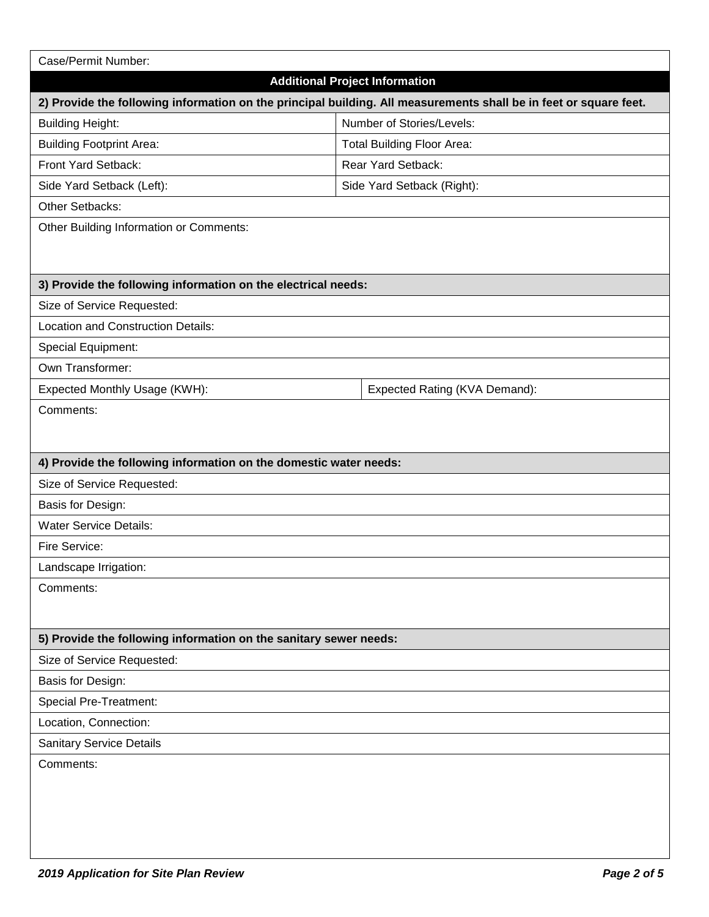| Case/Permit Number:                                                                                               |                  |                                   |  |  |
|-------------------------------------------------------------------------------------------------------------------|------------------|-----------------------------------|--|--|
| <b>Additional Project Information</b>                                                                             |                  |                                   |  |  |
| 2) Provide the following information on the principal building. All measurements shall be in feet or square feet. |                  |                                   |  |  |
| <b>Building Height:</b>                                                                                           |                  | Number of Stories/Levels:         |  |  |
| <b>Building Footprint Area:</b>                                                                                   |                  | <b>Total Building Floor Area:</b> |  |  |
| Front Yard Setback:                                                                                               |                  | Rear Yard Setback:                |  |  |
| Side Yard Setback (Left):                                                                                         |                  | Side Yard Setback (Right):        |  |  |
| Other Setbacks:                                                                                                   |                  |                                   |  |  |
| Other Building Information or Comments:                                                                           |                  |                                   |  |  |
|                                                                                                                   |                  |                                   |  |  |
| 3) Provide the following information on the electrical needs:                                                     |                  |                                   |  |  |
| Size of Service Requested:                                                                                        |                  |                                   |  |  |
| Location and Construction Details:                                                                                |                  |                                   |  |  |
| Special Equipment:                                                                                                |                  |                                   |  |  |
|                                                                                                                   |                  |                                   |  |  |
| Expected Monthly Usage (KWH):                                                                                     | Own Transformer: |                                   |  |  |
| Comments:                                                                                                         |                  | Expected Rating (KVA Demand):     |  |  |
|                                                                                                                   |                  |                                   |  |  |
|                                                                                                                   |                  |                                   |  |  |
| 4) Provide the following information on the domestic water needs:                                                 |                  |                                   |  |  |
| Size of Service Requested:                                                                                        |                  |                                   |  |  |
| Basis for Design:                                                                                                 |                  |                                   |  |  |
| <b>Water Service Details:</b>                                                                                     |                  |                                   |  |  |
| Fire Service:                                                                                                     |                  |                                   |  |  |
| Landscape Irrigation:                                                                                             |                  |                                   |  |  |
| Comments:                                                                                                         |                  |                                   |  |  |
|                                                                                                                   |                  |                                   |  |  |
| 5) Provide the following information on the sanitary sewer needs:                                                 |                  |                                   |  |  |
| Size of Service Requested:                                                                                        |                  |                                   |  |  |
| Basis for Design:                                                                                                 |                  |                                   |  |  |
| <b>Special Pre-Treatment:</b>                                                                                     |                  |                                   |  |  |
| Location, Connection:                                                                                             |                  |                                   |  |  |
| <b>Sanitary Service Details</b>                                                                                   |                  |                                   |  |  |
| Comments:                                                                                                         |                  |                                   |  |  |
|                                                                                                                   |                  |                                   |  |  |
|                                                                                                                   |                  |                                   |  |  |
|                                                                                                                   |                  |                                   |  |  |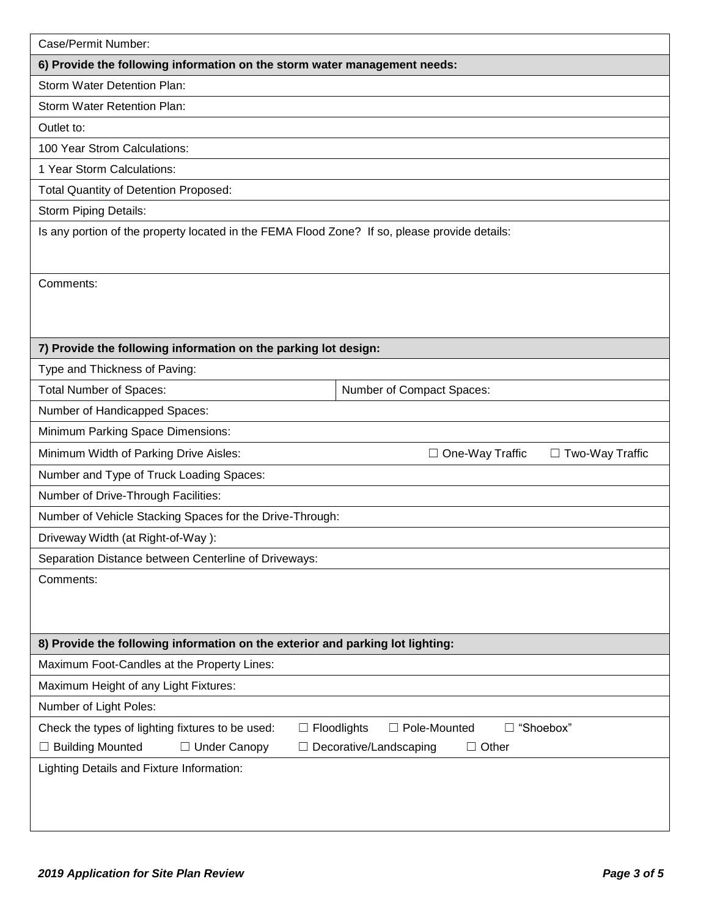| Case/Permit Number:                                                                           |                                                  |
|-----------------------------------------------------------------------------------------------|--------------------------------------------------|
| 6) Provide the following information on the storm water management needs:                     |                                                  |
| Storm Water Detention Plan:                                                                   |                                                  |
| <b>Storm Water Retention Plan:</b>                                                            |                                                  |
| Outlet to:                                                                                    |                                                  |
| 100 Year Strom Calculations:                                                                  |                                                  |
| 1 Year Storm Calculations:                                                                    |                                                  |
| <b>Total Quantity of Detention Proposed:</b>                                                  |                                                  |
| Storm Piping Details:                                                                         |                                                  |
| Is any portion of the property located in the FEMA Flood Zone? If so, please provide details: |                                                  |
|                                                                                               |                                                  |
| Comments:                                                                                     |                                                  |
|                                                                                               |                                                  |
|                                                                                               |                                                  |
| 7) Provide the following information on the parking lot design:                               |                                                  |
| Type and Thickness of Paving:                                                                 |                                                  |
| <b>Total Number of Spaces:</b>                                                                | Number of Compact Spaces:                        |
| Number of Handicapped Spaces:                                                                 |                                                  |
| Minimum Parking Space Dimensions:                                                             |                                                  |
| Minimum Width of Parking Drive Aisles:                                                        | $\Box$ One-Way Traffic<br>$\Box$ Two-Way Traffic |
| Number and Type of Truck Loading Spaces:                                                      |                                                  |
| Number of Drive-Through Facilities:                                                           |                                                  |
| Number of Vehicle Stacking Spaces for the Drive-Through:                                      |                                                  |
| Driveway Width (at Right-of-Way):                                                             |                                                  |
| Separation Distance between Centerline of Driveways:                                          |                                                  |
| Comments:                                                                                     |                                                  |
|                                                                                               |                                                  |
|                                                                                               |                                                  |
| 8) Provide the following information on the exterior and parking lot lighting:                |                                                  |
| Maximum Foot-Candles at the Property Lines:                                                   |                                                  |
| Maximum Height of any Light Fixtures:                                                         |                                                  |
| Number of Light Poles:                                                                        |                                                  |
| Check the types of lighting fixtures to be used:<br>$\Box$ Floodlights                        | "Shoebox"<br>$\Box$ Pole-Mounted                 |
| □ Building Mounted<br>□ Under Canopy                                                          | $\Box$ Other<br>Decorative/Landscaping           |
| Lighting Details and Fixture Information:                                                     |                                                  |
|                                                                                               |                                                  |
|                                                                                               |                                                  |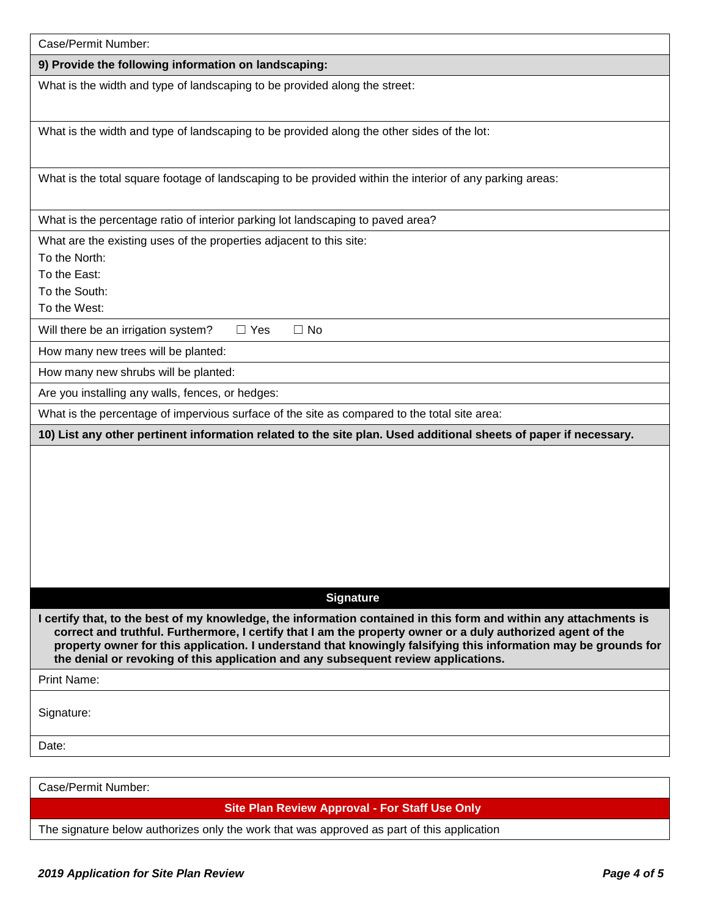| Case/Permit Number:                                                                                                                                                                                                                                                                                                                                                                                                                       |
|-------------------------------------------------------------------------------------------------------------------------------------------------------------------------------------------------------------------------------------------------------------------------------------------------------------------------------------------------------------------------------------------------------------------------------------------|
| 9) Provide the following information on landscaping:                                                                                                                                                                                                                                                                                                                                                                                      |
| What is the width and type of landscaping to be provided along the street:                                                                                                                                                                                                                                                                                                                                                                |
| What is the width and type of landscaping to be provided along the other sides of the lot:                                                                                                                                                                                                                                                                                                                                                |
| What is the total square footage of landscaping to be provided within the interior of any parking areas:                                                                                                                                                                                                                                                                                                                                  |
| What is the percentage ratio of interior parking lot landscaping to paved area?                                                                                                                                                                                                                                                                                                                                                           |
| What are the existing uses of the properties adjacent to this site:<br>To the North:<br>To the East:<br>To the South:<br>To the West:                                                                                                                                                                                                                                                                                                     |
| Will there be an irrigation system?<br>$\Box$ Yes<br>$\Box$ No                                                                                                                                                                                                                                                                                                                                                                            |
| How many new trees will be planted:                                                                                                                                                                                                                                                                                                                                                                                                       |
| How many new shrubs will be planted:                                                                                                                                                                                                                                                                                                                                                                                                      |
| Are you installing any walls, fences, or hedges:                                                                                                                                                                                                                                                                                                                                                                                          |
| What is the percentage of impervious surface of the site as compared to the total site area:                                                                                                                                                                                                                                                                                                                                              |
| 10) List any other pertinent information related to the site plan. Used additional sheets of paper if necessary.                                                                                                                                                                                                                                                                                                                          |
|                                                                                                                                                                                                                                                                                                                                                                                                                                           |
| <b>Signature</b>                                                                                                                                                                                                                                                                                                                                                                                                                          |
| I certify that, to the best of my knowledge, the information contained in this form and within any attachments is<br>correct and truthful. Furthermore, I certify that I am the property owner or a duly authorized agent of the<br>property owner for this application. I understand that knowingly falsifying this information may be grounds for<br>the denial or revoking of this application and any subsequent review applications. |
| Print Name:                                                                                                                                                                                                                                                                                                                                                                                                                               |
| Signature:                                                                                                                                                                                                                                                                                                                                                                                                                                |
| Date:                                                                                                                                                                                                                                                                                                                                                                                                                                     |
|                                                                                                                                                                                                                                                                                                                                                                                                                                           |
| Case/Permit Number:                                                                                                                                                                                                                                                                                                                                                                                                                       |

**Site Plan Review Approval - For Staff Use Only**

The signature below authorizes only the work that was approved as part of this application